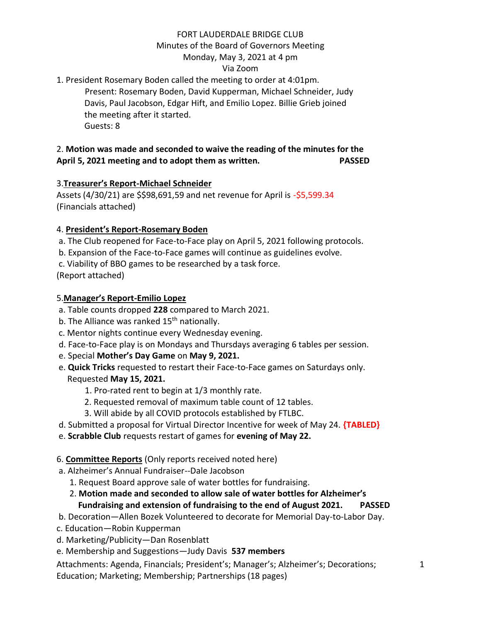# FORT LAUDERDALE BRIDGE CLUB

# Minutes of the Board of Governors Meeting

# Monday, May 3, 2021 at 4 pm

### Via Zoom

# 1. President Rosemary Boden called the meeting to order at 4:01pm.

Present: Rosemary Boden, David Kupperman, Michael Schneider, Judy Davis, Paul Jacobson, Edgar Hift, and Emilio Lopez. Billie Grieb joined the meeting after it started. Guests: 8

# 2. **Motion was made and seconded to waive the reading of the minutes for the April 5, 2021 meeting and to adopt them as written. PASSED**

## 3.**Treasurer's Report-Michael Schneider**

Assets (4/30/21) are \$\$98,691,59 and net revenue for April is -\$5,599.34 (Financials attached)

### 4. **President's Report-Rosemary Boden**

- a. The Club reopened for Face-to-Face play on April 5, 2021 following protocols.
- b. Expansion of the Face-to-Face games will continue as guidelines evolve.
- c. Viability of BBO games to be researched by a task force.

(Report attached)

### 5.**Manager's Report-Emilio Lopez**

- a. Table counts dropped **228** compared to March 2021.
- b. The Alliance was ranked  $15<sup>th</sup>$  nationally.
- c. Mentor nights continue every Wednesday evening.
- d. Face-to-Face play is on Mondays and Thursdays averaging 6 tables per session.
- e. Special **Mother's Day Game** on **May 9, 2021.**
- e. **Quick Tricks** requested to restart their Face-to-Face games on Saturdays only. Requested **May 15, 2021.**
	- 1. Pro-rated rent to begin at 1/3 monthly rate.
	- 2. Requested removal of maximum table count of 12 tables.
	- 3. Will abide by all COVID protocols established by FTLBC.
- d. Submitted a proposal for Virtual Director Incentive for week of May 24. **{TABLED}**
- e. **Scrabble Club** requests restart of games for **evening of May 22.**

## 6. **Committee Reports** (Only reports received noted here)

- a. Alzheimer's Annual Fundraiser--Dale Jacobson
	- 1. Request Board approve sale of water bottles for fundraising.
	- 2. **Motion made and seconded to allow sale of water bottles for Alzheimer's Fundraising and extension of fundraising to the end of August 2021. PASSED**
- b. Decoration—Allen Bozek Volunteered to decorate for Memorial Day-to-Labor Day.
- c. Education—Robin Kupperman
- d. Marketing/Publicity—Dan Rosenblatt
- e. Membership and Suggestions—Judy Davis **537 members**

Attachments: Agenda, Financials; President's; Manager's; Alzheimer's; Decorations; Education; Marketing; Membership; Partnerships (18 pages)